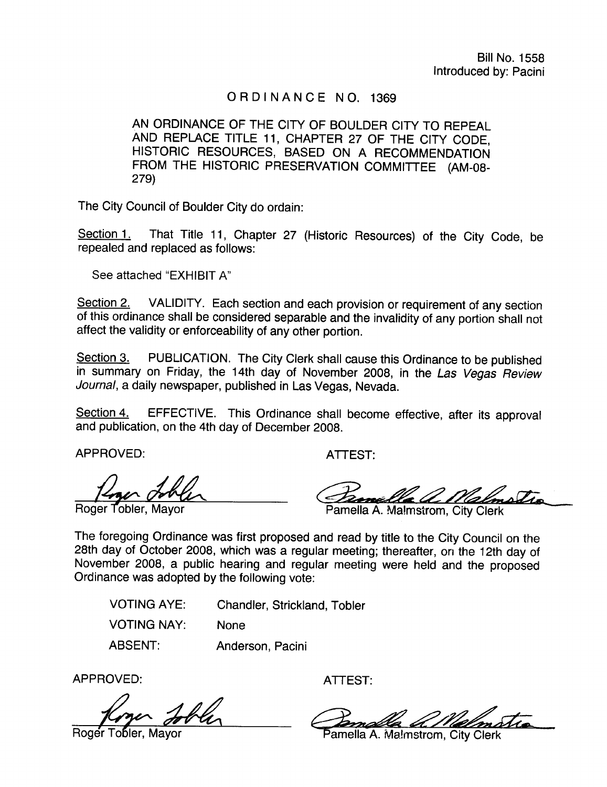# ORDINANCE NO. 1369

AN ORDINANCE OF THE CITY OF BOULDER CITY TO REPEAL AND REPLACE TITLE 11, CHAPTER 27 OF THE CITY CODE, HISTORIC RESOURCES, BASED ON A RECOMMENDATION FROM THE HISTORIC PRESERVATION COMMITTEE (AM-08-279)

The City Council of Boulder City do ordain:

Section 1. That Title 11, Chapter 27 (Historic Resources) of the City Code, be repealed and replaced as follows:

See attached "EXHIBIT A"

Section 2. VALIDITY. Each section and each provision or requirement of any section of this ordinance shall be considered separable and the invalidity of any portion shall not affect the validity or enforceability of any other portion.

Section 3. PUBLICATION. The City Clerk shall cause this Ordinance to be published in summary on Friday, the 14th day of November 2008, in the Las Vegas Review Journal, a daily newspaper, published in Las Vegas, Nevada.

Section 4. EFFECTIVE. This Ordinance shall become effective, after its approval and publication, on the 4th day of December 2008.

APPROVED: ATTEST:

APPROVED: ATTEST:<br>APPROVED: ATTEST:<br>Roger Tobler, Mayor<br>The ferencine Ordinance was first prepared and media in the Other City Clerk

Pamella A. Malmstrom, City Clerk

The foregoing Ordinance was first proposed and read by title to the City Council on the 28th day of October 2008, which was <sup>a</sup> regular meeting; thereafter, on the 12th day of November 2008, <sup>a</sup> public hearing and regular meeting were held and the proposed Ordinance was adopted by the following vote:

VOTING AYE: VOTING NAY: ABSENT: Chandler, Strickland, Tobler None Anderson, Pacini

APPROVED:

Roger Tobler, Mayor

ATTEST:

TTEST:<br>2<br>amella A. Ma!mstrom, City Clerk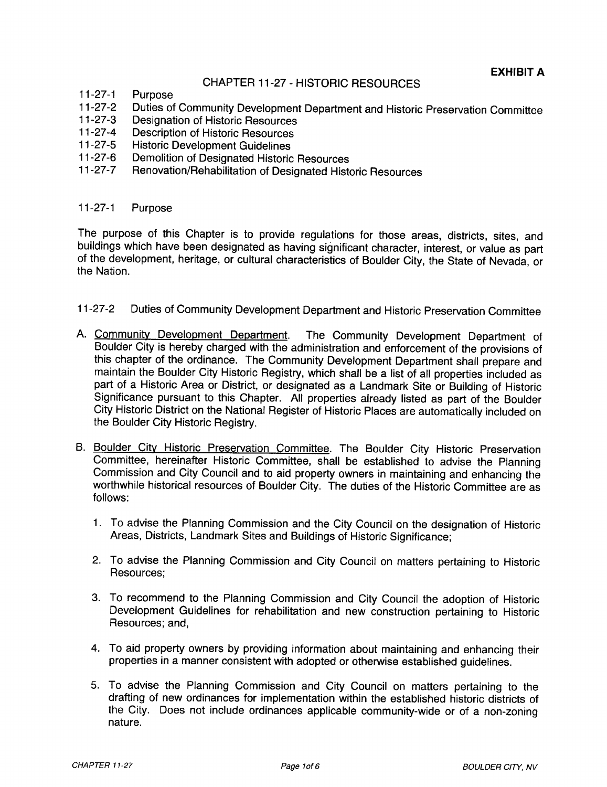### CHAPTER 11-27 - HISTORIC RESOURCES

- $11 27 1$ Purpose
- $11 27 2$ Duties of Community Development Department and Historic Preservation Committee
- $11 27 3$ Designation of Historic Resources
- 11- 27-4 Description of Historic Resources
- $11 27 5$ Historic Development Guidelines
- 11- 27-6 Demolition of Designated Historic Resources
- $11 27 7$ Renovation/Rehabilitation of Designated Historic Resources

#### 11-27-1 Purpose

The purpose of this Chapter is to provide regulations for those areas, districts, sites, and buildings which have been designated as having significant character, interest, or value as part of the development, heritage, or cultural characteristics of Boulder City, the State of Nevada, or the Nation.

## 11-27-2 Duties of Community Development Department and Historic Preservation Committee

- A. Community Development Department. The Community Development Department of Boulder City is hereby charged with the administration and enforcement of the provisions of this chapter of the ordinance. The Community Development Department shall prepare and maintain the Boulder City Historic Registry, which shall be <sup>a</sup> list of all properties included as part of <sup>a</sup> Historic Area or District, or designated as <sup>a</sup> Landmark Site or Building of Historic Significance pursuant to this Chapter. All properties already listed as part of the Boulder City Historic District on the National Register of Historic Places are automatically included on the Boulder City Historic Registry.
- B. Boulder Citv Historic Preservation Committee. The Boulder City Historic Preservation Committee, hereinafter Historic Committee, shall be established to advise the Planning Commission and City Council and to aid property owners in maintaining and enhancing the worthwhile historical resources of Boulder City. The duties of the Historic Committee are as follows:
	- 1. To advise the Planning Commission and the City Council on the designation of Historic Areas, Districts, Landmark Sites and Buildings of Historic Significance;
	- 2. To advise the Planning Commission and City Council on matters pertaining to Historic Resources;
	- 3. To recommend to the Planning Commission and City Council the adoption of Historic Development Guidelines for rehabilitation and new construction pertaining to Historic Resources; and,
	- 4. To aid property owners by providing information about maintaining and enhancing their properties in a manner consistent with adopted or otherwise established guidelines.
	- 5. To advise the Planning Commission and City Council on matters pertaining to the drafting of new ordinances for implementation within the established historic districts of the City. Does not include ordinances applicable community-wide or of <sup>a</sup> non-zoning nature.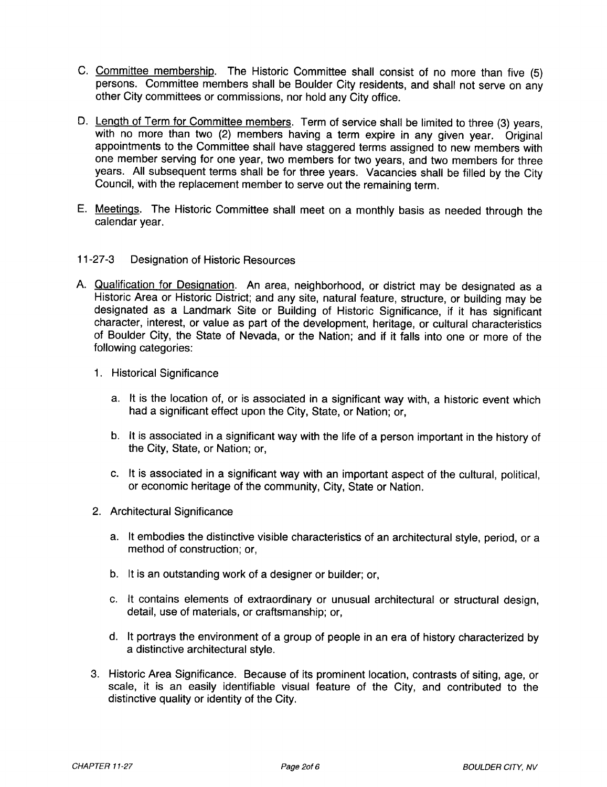- C. Committee membership. The Historic Committee shall consist of no more than five (5) persons. Committee members shall be Boulder City residents, and shall not serve on any other City committees or commissions, nor hold any City office.
- D. Length of Term for Committee members. Term of service shall be limited to three (3) years, with no more than two (2) members having a term expire in any given year. Original appointments to the Committee shall have staggered terms assigned to new members with one member serving for one year, two members for two years, and two members for three years. All subsequent terms shall be for three years. Vacancies shall be filled by the City Council, with the replacement member to serve out the remaining term.
- E. Meetings. The Historic Committee shall meet on <sup>a</sup> monthly basis as needed through the calendar year.
- 11-27-3 Designation of Historic Resources
- A. Qualification for Designation. An area, neighborhood, or district may be designated as a Historic Area or Historic District; and any site, natural feature, structure, or building may be designated as <sup>a</sup> Landmark Site or Building of Historic Significance, if it has significant character, interest, or value as part of the development, heritage, or cultural characteristics of Boulder City, the State of Nevada, or the Nation; and if it falls into one or more of the following categories:
	- 1. Historical Significance
		- a. It is the location of, or is associated in a significant way with, <sup>a</sup> historic event which had a significant effect upon the City, State, or Nation; or,
		- b. It is associated in <sup>a</sup> significant way with the life of <sup>a</sup> person important in the history of the City, State, or Nation; or,
		- c. It is associated in a significant way with an important aspect of the cultural, political, or economic heritage of the community, City, State or Nation.
	- 2. Architectural Significance
		- a. It embodies the distinctive visible characteristics of an architectural style, period, or <sup>a</sup> method of construction; or,
		- b. It is an outstanding work of a designer or builder; or,
		- c. It contains elements of extraordinary or unusual architectural or structural design, detail, use of materials, or craftsmanship; or,
		- d. It portrays the environment of a group of people in an era of history characterized by a distinctive architectural style.
	- 3. Historic Area Significance. Because of its prominent location, contrasts of siting, age, or scale, it is an easily identifiable visual feature of the City, and contributed to the distinctive quality or identity of the City.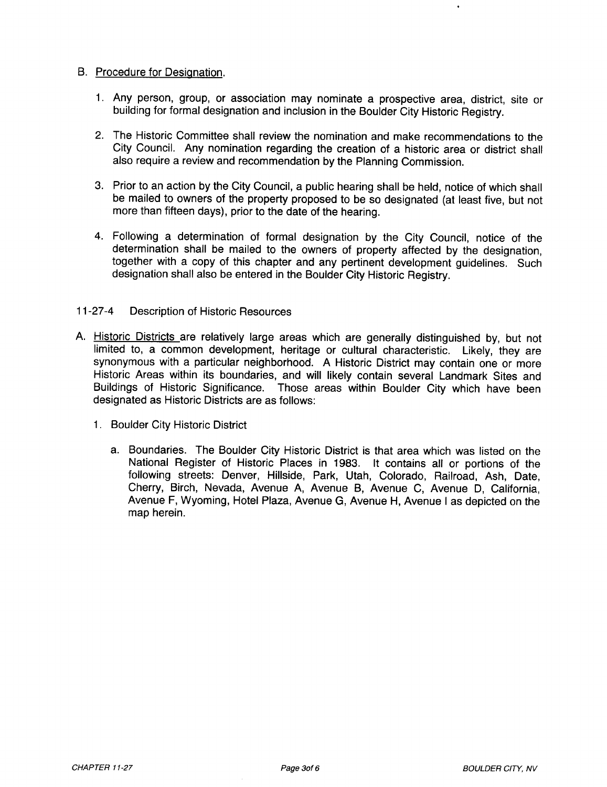#### B. Procedure for Desianation.

- 1. Any person, group, or association may nominate a prospective area, district, site or building for formal designation and inclusion in the Boulder City Historic Registry.
- 2. The Historic Committee shall review the nomination and make recommendations to the City Council. Any nomination regarding the creation of <sup>a</sup> historic area or district shall also require a review and recommendation by the Planning Commission.
- 3. Prior to an action by the City Council, a public hearing shall be held, notice of which shall be mailed to owners of the property proposed to be so designated (at least five, but not more than fifteen days), prior to the date of the hearing.
- 4. Following a determination of formal designation by the City Council, notice of the determination shall be mailed to the owners of property affected by the designation, together with a copy of this chapter and any pertinent development guidelines. Such designation shall also be entered in the Boulder City Historic Registry.
- 11-27-4 Description of Historic Resources
- A. Historic Districts are relatively large areas which are generally distinguished by, but not limited to, <sup>a</sup> common development, heritage or cultural characteristic. Likely, they are synonymous with a particular neighborhood. A Historic District may contain one or more Historic Areas within its boundaries, and will likely contain several Landmark Sites and Buildings of Historic Significance. Those areas within Boulder City which have been designated as Historic Districts are as follows:
	- 1. Boulder City Historic District
		- a. Boundaries. The Boulder City Historic District is that area which was listed on the National Register of Historic Places in 1983. It contains all or portions of the following streets: Denver, Hillside, Park, Utah, Colorado, Railroad, Ash, Date, Cherry, Birch, Nevada, Avenue A, Avenue B, Avenue C, Avenue D, California, Avenue F, Wyoming, Hotel Plaza, Avenue G, Avenue H, Avenue <sup>I</sup> as depicted on the map herein.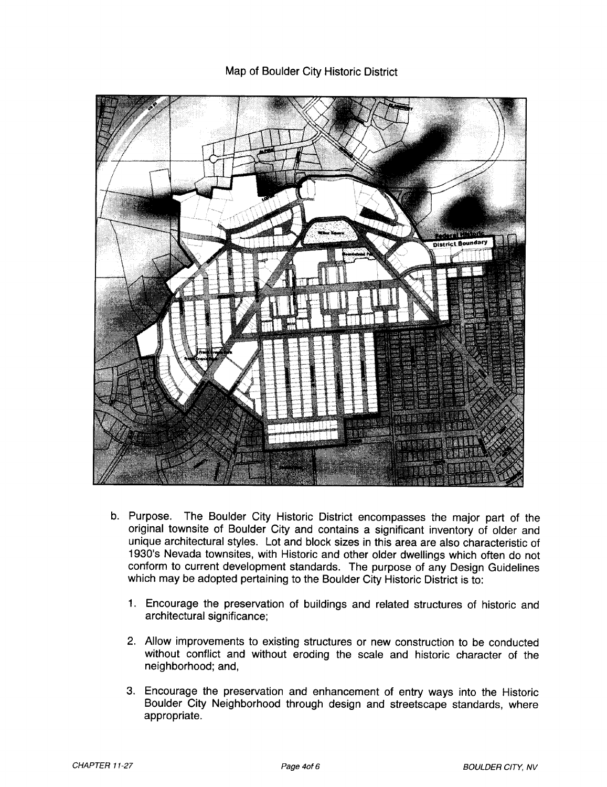# District Boundary ann gaasse ( **Marshale** 10000

# Map of Boulder City Historic District

- b. Purpose. The Boulder City Historic District encompasses the major part of the original townsite of Boulder City and contains <sup>a</sup> significant inventory of older and unique architectural styles. Lot and block sizes in this area are also characteristic of 1930's Nevada townsites, with Historic and other older dwellings which often do not conform to current development standards. The purpose of any Design Guidelines which may be adopted pertaining to the Boulder City Historic District is to:
	- 1. Encourage the preservation of buildings and related structures of historic and architectural significance;
	- 2. Allow improvements to existing structures or new construction to be conducted without conflict and without eroding the scale and historic character of the neighborhood; and,
	- 3. Encourage the preservation and enhancement of entry ways into the Historic Boulder City Neighborhood through design and streetscape standards, where appropriate.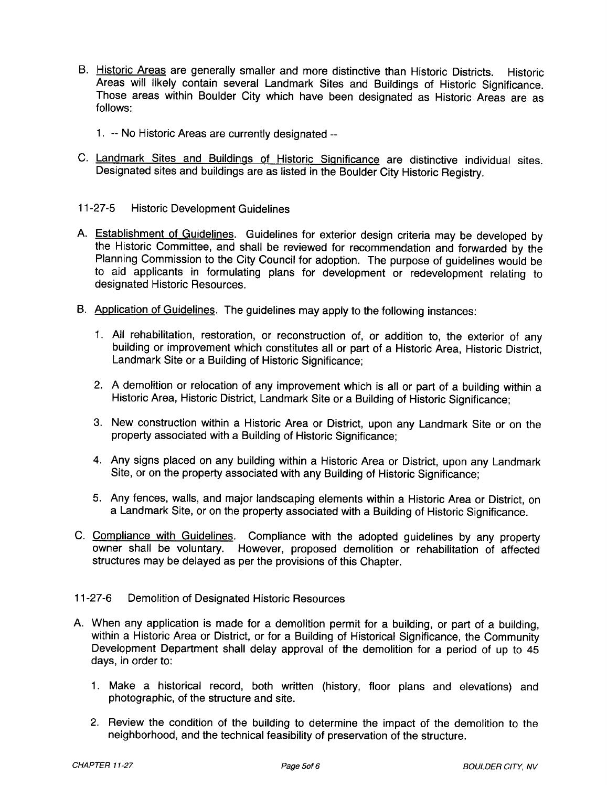- B. Historic Areas are generally smaller and more distinctive than Historic Districts. Historic Areas will likely contain several Landmark Sites and Buildings of Historic Significance. Those areas within Boulder City which have been designated as Historic Areas are as follows:
	- 1. -- No Historic Areas are currently designated --
- C. Landmark Sites and Buildinqs of Historic Siqnificance are distinctive individual sites. Designated sites and buildings are as listed in the Boulder City Historic Registry.
- 11-27-5 Historic Development Guidelines
- A. Establishment of Guidelines. Guidelines for exterior design criteria may be developed by the Historic Committee, and shall be reviewed for recommendation and forwarded by the Planning Commission to the City Council for adoption. The purpose of guidelines would be to aid applicants in formulating plans for development or redevelopment relating to designated Historic Resources.
- B. Application of Guidelines. The guidelines may apply to the following instances:
	- 1. All rehabilitation, restoration, or reconstruction of, or addition to, the exterior of any building or improvement which constitutes all or part of a Historic Area, Historic District, Landmark Site or a Building of Historic Significance;
	- 2. A demolition or relocation of any improvement which is all or part of <sup>a</sup> building within <sup>a</sup> Historic Area, Historic District, Landmark Site or <sup>a</sup> Building of Historic Significance;
	- 3. New construction within <sup>a</sup> Historic Area or District, upon any Landmark Site or on the property associated with a Building of Historic Significance;
	- 4. Any signs placed on any building within <sup>a</sup> Historic Area or District, upon any Landmark Site, or on the property associated with any Building of Historic Significance;
	- 5. Any fences, walls, and major landscaping elements within <sup>a</sup> Historic Area or District, on <sup>a</sup> Landmark Site, or on the property associated with <sup>a</sup> Building of Historic Significance.
- C. Compliance with Guidelines. Compliance with the adopted guidelines by any property owner shall be voluntary. However, proposed demolition or rehabilitation of affected structures may be delayed as per the provisions of this Chapter.
- 11-27-6 Demolition of Designated Historic Resources
- A. When any application is made for <sup>a</sup> demolition permit for <sup>a</sup> building, or part of <sup>a</sup> building, within <sup>a</sup> Historic Area or District, or for <sup>a</sup> Building of Historical Significance, the Community Development Department shall delay approval of the demolition for a period of up to 45 days, in order to:
	- 1. Make a historical record, both written ( history, floor plans and elevations) and photographic, of the structure and site.
	- 2. Review the condition of the building to determine the impact of the demolition to the neighborhood, and the technical feasibility of preservation of the structure.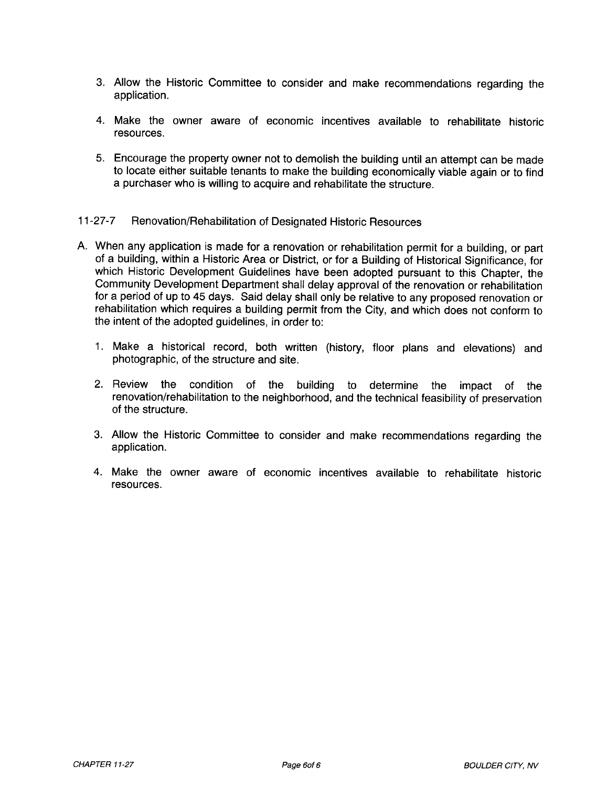- 3. Allow the Historic Committee to consider and make recommendations regarding the application.
- 4. Make the owner aware of economic incentives available to rehabilitate historic resources.
- 5. Encourage the property owner not to demolish the building until an attempt can be made to locate either suitable tenants to make the building economically viable again or to find a purchaser who is willing to acquire and rehabilitate the structure.
- 11-27-7 Renovation/Rehabilitation of Designated Historic Resources
- A. When any application is made for <sup>a</sup> renovation or rehabilitation permit for <sup>a</sup> building, or part of <sup>a</sup> building, within a Historic Area or District, or for a Building of Historical Significance, for which Historic Development Guidelines have been adopted pursuant to this Chapter, the Community Development Department shall delay approval of the renovation or rehabilitation for <sup>a</sup> period of up to 45 days. Said delay shall only be relative to any proposed renovation or rehabilitation which requires a building permit from the City, and which does not conform to the intent of the adopted guidelines, in order to:
	- 1. Make a historical record, both written ( history, floor plans and elevations) and photographic, of the structure and site.
	- 2. Review the condition of the building to determine the impact of the renovation/rehabilitation to the neighborhood, and the technical feasibility of preservation of the structure.
	- 3. Allow the Historic Committee to consider and make recommendations regarding the application.
	- 4. Make the owner aware of economic incentives available to rehabilitate historic resources.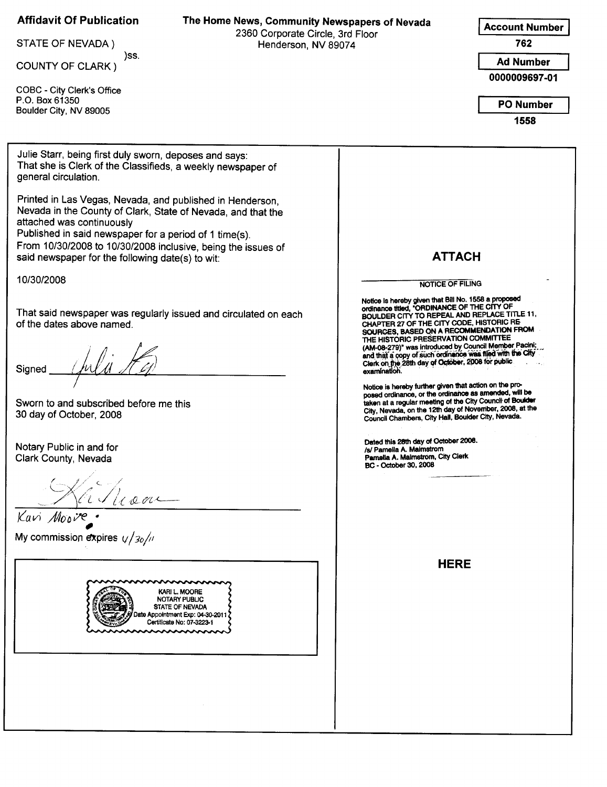#### Affidavit Of Publication The Home News, Community N

COUNTY OF CLARK) ss.

COBC - City Clerk's Office P.O. Box 61350 Boulder City, NV 89005

| Aniudvit Of Publication | The Home News, Community Newspapers of Nevada |
|-------------------------|-----------------------------------------------|
|                         | 2360 Corporate Circle, 3rd Floor              |
| STATE OF NEVADA)        | Henderson, NV 89074                           |

**Account Number** 

762

Ad Number 0000009697 -01

PO Number

1558

Julie Starr, being first duly sworn, deposes and says: That she is Clerk of the Classifieds, <sup>a</sup> weekly newspaper of general circulation.

Printed in Las Vegas, Nevada, and published in Henderson, Nevada in the County of Clark, State of Nevada, and that the attached was continuously Published in said newspaper for <sup>a</sup> period of <sup>1</sup> time(s). From 10/30/2008 to 10/30/2008 inclusive, being the issues of

said newspaper for the following date(s) to wit:  $\overline{ATTACH}$ 

10/30/2008

That said newspaper was regularly issued and circulated on each of the dates above named.

Signed  $\frac{1}{\sqrt{1-\frac{1}{\sqrt{1-\frac{1}{\sqrt{1-\frac{1}{\sqrt{1-\frac{1}{\sqrt{1-\frac{1}{\sqrt{1-\frac{1}{\sqrt{1-\frac{1}{\sqrt{1-\frac{1}{\sqrt{1-\frac{1}{\sqrt{1-\frac{1}{\sqrt{1-\frac{1}{\sqrt{1-\frac{1}{\sqrt{1-\frac{1}{\sqrt{1-\frac{1}{\sqrt{1-\frac{1}{\sqrt{1-\frac{1}{\sqrt{1-\frac{1}{\sqrt{1-\frac{1}{\sqrt{1-\frac{1}{\sqrt{1-\frac{1}{\sqrt{1-\frac{1}{\sqrt{1-\frac{1}{\sqrt{1-\frac{1}{\$ 

Sworn to and subscribed before me this 30 day of October, 2008

Notary Public in and for Clark County, Nevada

Hann

Kavi Moove

My commission expires  $\frac{1}{26}$ //



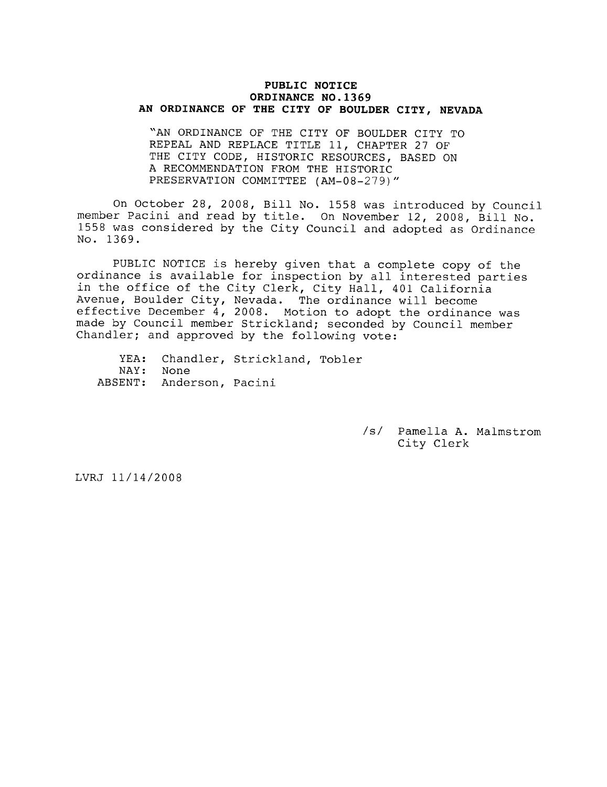#### PUBLIC NOTICE ORDINANCE NO. 1369 AN ORDINANCE OF THE CITY OF BOULDER CITY, NEVADA

"AN ORDINANCE OF THE CITY OF BOULDER CITY TO REPEAL AND REPLACE TITLE 11, CHAPTER 27 OF THE CITY CODE, HISTORIC RESOURCES, BASED ON A RECOMMENDATION FROM THE HISTORIC PRESERVATION COMMITTEE (AM-08-279)"

On October 28, 2008, Bill No. <sup>1558</sup> was introduced by Council member Pacini and read by title. On November 12, 2008, Bill No. <sup>1558</sup> was considered by the City Council and adopted as Ordinance No. 1369.

PUBLIC NOTICE is hereby given that <sup>a</sup> complete copy of the ordinance is available for inspection by all interested parties in the office of the City Clerk, City Hall, <sup>401</sup> California Avenue, Boulder City, Nevada. The ordinance will become effective December  $\overline{4}$ , 2008. Motion to adopt the ordinance was made by Council member Strickland; seconded by Council member Chandler; and approved by the following vote:

YEA: NAY: None ABSENT: Anderson, Pacini Chandler, Strickland, Tobler

> /s/ Pamella A. Malmstrom City Clerk

LVRJ 11/ 14/ 2008